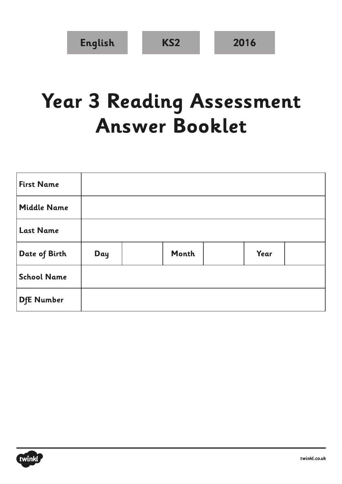## **Year 3 Reading Assessment Answer Booklet**

| <b>First Name</b>  |     |       |      |  |
|--------------------|-----|-------|------|--|
| <b>Middle Name</b> |     |       |      |  |
| <b>Last Name</b>   |     |       |      |  |
| Date of Birth      | Day | Month | Year |  |
| <b>School Name</b> |     |       |      |  |
| <b>DfE Number</b>  |     |       |      |  |

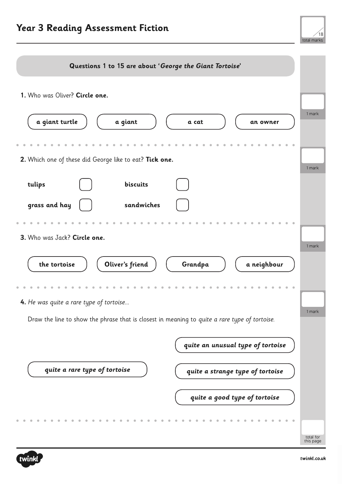

| Questions 1 to 15 are about 'George the Giant Tortoise'                                       |                        |
|-----------------------------------------------------------------------------------------------|------------------------|
| 1. Who was Oliver? Circle one.                                                                |                        |
| a giant turtle<br>a giant<br>a cat<br>an owner                                                | 1 mark                 |
| 2. Which one of these did George like to eat? Tick one.                                       | 1 mark                 |
| biscuits<br>tulips                                                                            |                        |
| grass and hay<br>sandwiches                                                                   |                        |
|                                                                                               |                        |
| 3. Who was Jack? Circle one.                                                                  | 1 mark                 |
| Oliver's friend<br>the tortoise<br>Grandpa<br>a neighbour                                     |                        |
|                                                                                               |                        |
| 4. He was quite a rare type of tortoise                                                       | 1 mark                 |
| Draw the line to show the phrase that is closest in meaning to quite a rare type of tortoise. |                        |
| quite an unusual type of tortoise                                                             |                        |
| quite a rare type of tortoise<br>quite a strange type of tortoise                             |                        |
| quite a good type of tortoise                                                                 |                        |
|                                                                                               |                        |
|                                                                                               | total for<br>this page |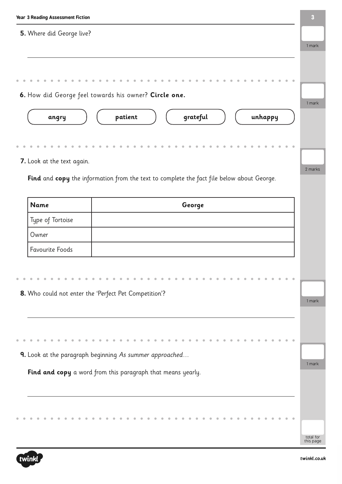| <b>Year 3 Reading Assessment Fiction</b> |                                                                                           | $\boldsymbol{3}$       |
|------------------------------------------|-------------------------------------------------------------------------------------------|------------------------|
| 5. Where did George live?                |                                                                                           | 1 mark                 |
|                                          |                                                                                           |                        |
|                                          |                                                                                           |                        |
|                                          | 6. How did George feel towards his owner? Circle one.                                     |                        |
| angry                                    | grateful<br>unhappy<br>patient                                                            | 1 mark                 |
|                                          |                                                                                           |                        |
| 7. Look at the text again.               |                                                                                           |                        |
|                                          | Find and copy the information from the text to complete the fact file below about George. | 2 marks                |
|                                          |                                                                                           |                        |
| <b>Name</b>                              | George                                                                                    |                        |
| Type of Tortoise                         |                                                                                           |                        |
| Owner                                    |                                                                                           |                        |
| <b>Favourite Foods</b>                   |                                                                                           |                        |
|                                          |                                                                                           |                        |
|                                          |                                                                                           |                        |
|                                          | 8. Who could not enter the 'Perfect Pet Competition'?                                     |                        |
|                                          |                                                                                           | 1 mark                 |
|                                          |                                                                                           |                        |
|                                          |                                                                                           |                        |
|                                          |                                                                                           |                        |
|                                          | 9. Look at the paragraph beginning As summer approached                                   | 1 mark                 |
|                                          | Find and copy a word from this paragraph that means yearly.                               |                        |
|                                          |                                                                                           |                        |
|                                          |                                                                                           |                        |
|                                          |                                                                                           | total for<br>this page |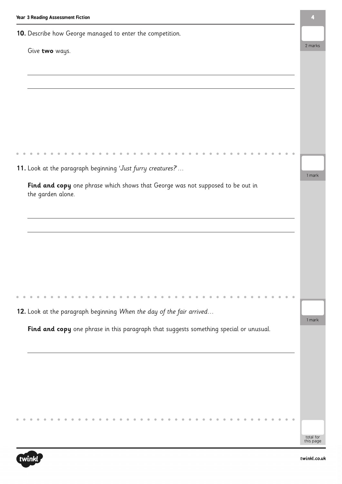| 10. Describe how George managed to enter the competition.                              |                        |
|----------------------------------------------------------------------------------------|------------------------|
| Give two ways.                                                                         | 2 marks                |
|                                                                                        |                        |
|                                                                                        |                        |
|                                                                                        |                        |
|                                                                                        |                        |
|                                                                                        |                        |
| 11. Look at the paragraph beginning 'Just furry creatures?'                            |                        |
| Find and copy one phrase which shows that George was not supposed to be out in         | 1 mark                 |
| the garden alone.                                                                      |                        |
|                                                                                        |                        |
|                                                                                        |                        |
|                                                                                        |                        |
|                                                                                        |                        |
|                                                                                        |                        |
|                                                                                        |                        |
| 12. Look at the paragraph beginning When the day of the fair arrived                   | 1 mark                 |
| Find and copy one phrase in this paragraph that suggests something special or unusual. |                        |
|                                                                                        |                        |
|                                                                                        |                        |
|                                                                                        |                        |
|                                                                                        |                        |
|                                                                                        |                        |
|                                                                                        | total for<br>this page |

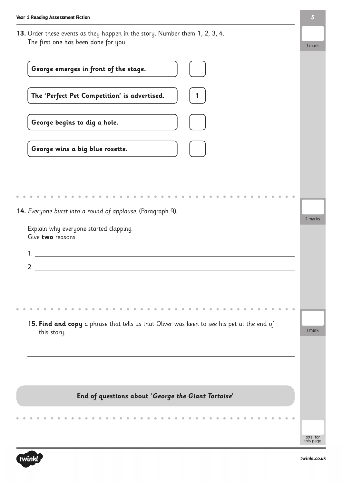**13.** Order these events as they happen in the story. Number them 1, 2, 3, 4. The first one has been done for you.

| George emerges in front of the stage.                                                                     |                        |
|-----------------------------------------------------------------------------------------------------------|------------------------|
| The 'Perfect Pet Competition' is advertised.                                                              |                        |
| George begins to dig a hole.                                                                              |                        |
| George wins a big blue rosette.                                                                           |                        |
|                                                                                                           |                        |
|                                                                                                           |                        |
| 14. Everyone burst into a round of applause. (Paragraph 9).                                               |                        |
| Explain why everyone started clapping.<br>Give two reasons                                                | 2 marks                |
|                                                                                                           |                        |
| 2.                                                                                                        |                        |
|                                                                                                           |                        |
|                                                                                                           |                        |
|                                                                                                           |                        |
| 15. Find and copy a phrase that tells us that Oliver was keen to see his pet at the end of<br>this story. | 1 mark                 |
|                                                                                                           |                        |
|                                                                                                           |                        |
|                                                                                                           |                        |
| End of questions about 'George the Giant Tortoise'                                                        |                        |
|                                                                                                           |                        |
|                                                                                                           |                        |
|                                                                                                           | total for<br>this page |



1 mark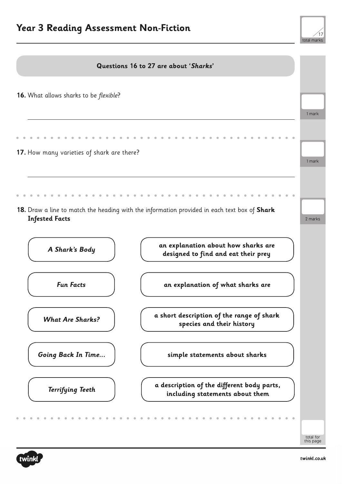## **Year 3 Reading Assessment Non-Fiction**





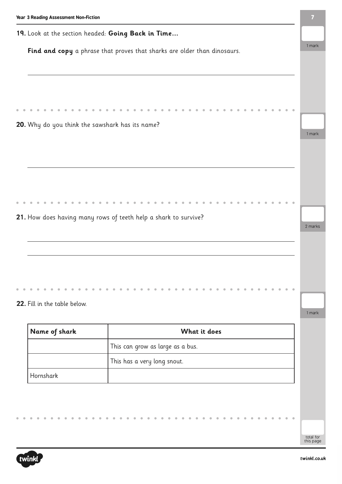|                              | 19. Look at the section headed: Going Back in Time                       |
|------------------------------|--------------------------------------------------------------------------|
|                              | Find and copy a phrase that proves that sharks are older than dinosaurs. |
|                              |                                                                          |
|                              |                                                                          |
|                              |                                                                          |
|                              |                                                                          |
|                              | 20. Why do you think the sawshark has its name?                          |
|                              |                                                                          |
|                              |                                                                          |
|                              |                                                                          |
|                              |                                                                          |
|                              |                                                                          |
|                              |                                                                          |
|                              |                                                                          |
|                              | 21. How does having many rows of teeth help a shark to survive?          |
|                              |                                                                          |
|                              |                                                                          |
|                              |                                                                          |
|                              |                                                                          |
|                              |                                                                          |
| 22. Fill in the table below. |                                                                          |
| Name of shark                | What it does                                                             |
|                              | This can grow as large as a bus.                                         |
|                              | This has a very long snout.                                              |

twinkl

total for this page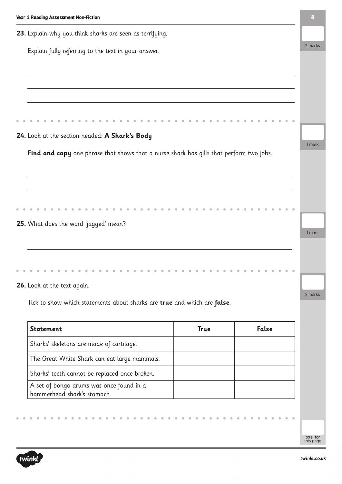| 23. Explain why you think sharks are seen as terrifying.                                |             |       |
|-----------------------------------------------------------------------------------------|-------------|-------|
| Explain fully referring to the text in your answer.                                     |             |       |
|                                                                                         |             |       |
|                                                                                         |             |       |
|                                                                                         |             |       |
|                                                                                         |             |       |
|                                                                                         |             |       |
| 24. Look at the section headed: A Shark's Body                                          |             |       |
| Find and copy one phrase that shows that a nurse shark has gills that perform two jobs. |             |       |
|                                                                                         |             |       |
|                                                                                         |             |       |
|                                                                                         |             |       |
|                                                                                         |             |       |
| 25. What does the word 'jagged' mean?                                                   |             |       |
|                                                                                         |             |       |
|                                                                                         |             |       |
|                                                                                         |             |       |
|                                                                                         |             |       |
| 26. Look at the text again.                                                             |             |       |
| Tick to show which statements about sharks are true and which are false.                |             |       |
| <b>Statement</b>                                                                        | <b>True</b> | False |
|                                                                                         |             |       |

| <u>JLULEIILEILL</u>                                                     | <br>. |
|-------------------------------------------------------------------------|-------|
| Sharks' skeletons are made of cartilage.                                |       |
| The Great White Shark can eat large mammals.                            |       |
| Sharks' teeth cannot be replaced once broken.                           |       |
| A set of bongo drums was once found in a<br>hammerhead shark's stomach. |       |

 $\bullet$  $\bullet$   $\hat{\mathbf{u}}$  $\bullet$  $\hat{\mathbf{r}}$   $\bullet$  $\ddot{\phantom{a}}$ 

 $\bullet$ 

 $\bullet$ 

 $\bullet$  $\bullet$   $\bullet$ 

 $\mathfrak{g}$  $\mathfrak{g}$ 

 $\bullet$ 

total for this page

 $\bullet$ 

 $\bullet$ 

 $\ddot{\phantom{a}}$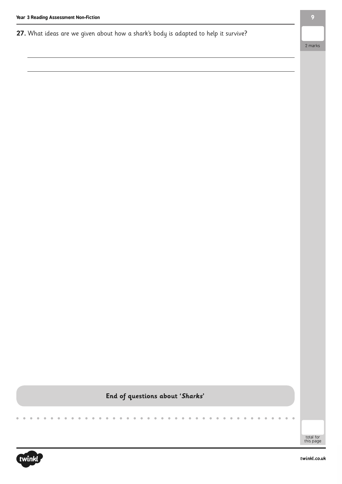**27.** What ideas are we given about how a shark's body is adapted to help it survive?

2 marks

## **End of questions about 'Sharks'**

total for this page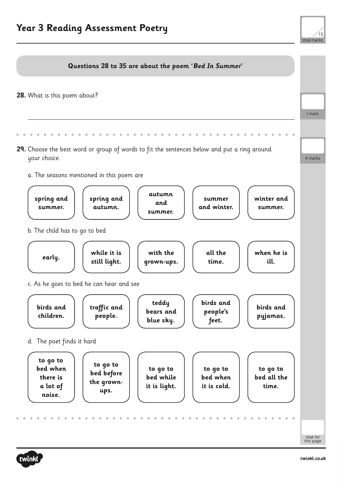

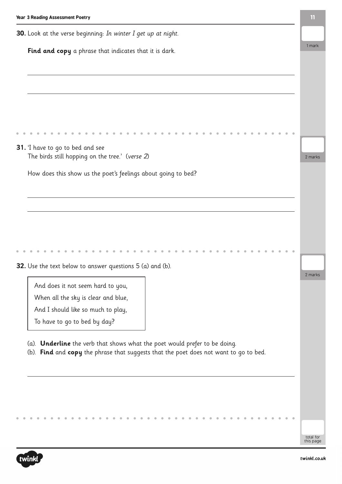| Year 3 Reading Assessment Poetry                                                                                                                                    | $\mathbf{11}$ |
|---------------------------------------------------------------------------------------------------------------------------------------------------------------------|---------------|
| 30. Look at the verse beginning: In winter I get up at night.                                                                                                       |               |
| Find and copy a phrase that indicates that it is dark.                                                                                                              | 1 mark        |
|                                                                                                                                                                     |               |
|                                                                                                                                                                     |               |
|                                                                                                                                                                     |               |
|                                                                                                                                                                     |               |
|                                                                                                                                                                     |               |
| <b>31.</b> I have to go to bed and see                                                                                                                              |               |
| The birds still hopping on the tree.' (verse 2)                                                                                                                     | 2 marks       |
| How does this show us the poet's feelings about going to bed?                                                                                                       |               |
|                                                                                                                                                                     |               |
|                                                                                                                                                                     |               |
|                                                                                                                                                                     |               |
|                                                                                                                                                                     |               |
|                                                                                                                                                                     |               |
| 32. Use the text below to answer questions 5 (a) and (b).                                                                                                           |               |
|                                                                                                                                                                     | 2 marks       |
| And does it not seem hard to you,<br>When all the sky is clear and blue,                                                                                            |               |
| And I should like so much to play,                                                                                                                                  |               |
| To have to go to bed by day?                                                                                                                                        |               |
|                                                                                                                                                                     |               |
| (a). Underline the verb that shows what the poet would prefer to be doing.<br>(b). Find and copy the phrase that suggests that the poet does not want to go to bed. |               |
|                                                                                                                                                                     |               |
|                                                                                                                                                                     |               |
|                                                                                                                                                                     |               |
|                                                                                                                                                                     |               |

 $\hat{\mathbf{u}}$ 

 $\bullet$ 

 $\bullet$  $\ddot{\phantom{a}}$ 

 $\bullet$ 

 $\alpha$ 

 $\hat{\mathbf{r}}$ 

 $\bullet$  $\bullet$  $\bullet$  $\bullet$  $\ddot{\phantom{a}}$   $\overline{a}$  $\bullet$  $\ddot{\phantom{a}}$  $\ddot{\phantom{a}}$  $\ddot{\phantom{a}}$  $\bar{\phantom{a}}$  $\bar{\bar{\theta}}$  $\dot{\Phi} = \dot{\Phi}$ 

 $\bullet$  $\bullet$ 

ó

 $\bullet$ 

 $\ddot{\phantom{a}}$ 

 $\bullet$ 

 $\bullet$  $\bullet$  $\bullet$  $\bullet$  $\bullet$ 

 $\bullet$ 

 $\overline{a}$  $\overline{a}$  $\overline{a}$   $\bullet$  $\mathbf{C}$  $\bullet$  $\bullet$